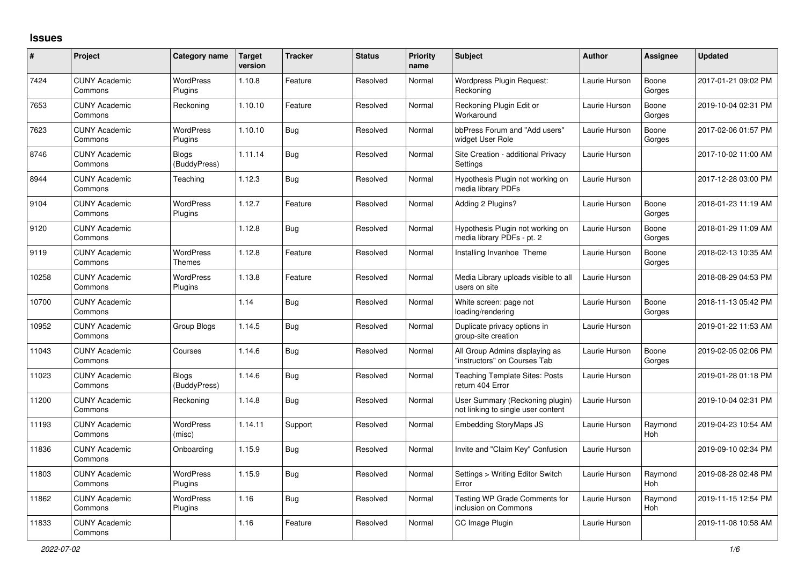## **Issues**

| #     | Project                         | Category name                     | <b>Target</b><br>version | <b>Tracker</b> | <b>Status</b> | <b>Priority</b><br>name | <b>Subject</b>                                                        | <b>Author</b> | <b>Assignee</b> | Updated             |
|-------|---------------------------------|-----------------------------------|--------------------------|----------------|---------------|-------------------------|-----------------------------------------------------------------------|---------------|-----------------|---------------------|
| 7424  | <b>CUNY Academic</b><br>Commons | <b>WordPress</b><br>Plugins       | 1.10.8                   | Feature        | Resolved      | Normal                  | Wordpress Plugin Request:<br>Reckoning                                | Laurie Hurson | Boone<br>Gorges | 2017-01-21 09:02 PM |
| 7653  | <b>CUNY Academic</b><br>Commons | Reckoning                         | 1.10.10                  | Feature        | Resolved      | Normal                  | Reckoning Plugin Edit or<br>Workaround                                | Laurie Hurson | Boone<br>Gorges | 2019-10-04 02:31 PM |
| 7623  | <b>CUNY Academic</b><br>Commons | <b>WordPress</b><br>Plugins       | 1.10.10                  | <b>Bug</b>     | Resolved      | Normal                  | bbPress Forum and "Add users"<br>widget User Role                     | Laurie Hurson | Boone<br>Gorges | 2017-02-06 01:57 PM |
| 8746  | <b>CUNY Academic</b><br>Commons | Blogs<br>(BuddyPress)             | 1.11.14                  | <b>Bug</b>     | Resolved      | Normal                  | Site Creation - additional Privacy<br>Settings                        | Laurie Hurson |                 | 2017-10-02 11:00 AM |
| 8944  | <b>CUNY Academic</b><br>Commons | Teaching                          | 1.12.3                   | Bug            | Resolved      | Normal                  | Hypothesis Plugin not working on<br>media library PDFs                | Laurie Hurson |                 | 2017-12-28 03:00 PM |
| 9104  | <b>CUNY Academic</b><br>Commons | <b>WordPress</b><br>Plugins       | 1.12.7                   | Feature        | Resolved      | Normal                  | Adding 2 Plugins?                                                     | Laurie Hurson | Boone<br>Gorges | 2018-01-23 11:19 AM |
| 9120  | <b>CUNY Academic</b><br>Commons |                                   | 1.12.8                   | <b>Bug</b>     | Resolved      | Normal                  | Hypothesis Plugin not working on<br>media library PDFs - pt. 2        | Laurie Hurson | Boone<br>Gorges | 2018-01-29 11:09 AM |
| 9119  | <b>CUNY Academic</b><br>Commons | <b>WordPress</b><br><b>Themes</b> | 1.12.8                   | Feature        | Resolved      | Normal                  | Installing Invanhoe Theme                                             | Laurie Hurson | Boone<br>Gorges | 2018-02-13 10:35 AM |
| 10258 | <b>CUNY Academic</b><br>Commons | WordPress<br>Plugins              | 1.13.8                   | Feature        | Resolved      | Normal                  | Media Library uploads visible to all<br>users on site                 | Laurie Hurson |                 | 2018-08-29 04:53 PM |
| 10700 | <b>CUNY Academic</b><br>Commons |                                   | 1.14                     | Bug            | Resolved      | Normal                  | White screen: page not<br>loading/rendering                           | Laurie Hurson | Boone<br>Gorges | 2018-11-13 05:42 PM |
| 10952 | <b>CUNY Academic</b><br>Commons | Group Blogs                       | 1.14.5                   | <b>Bug</b>     | Resolved      | Normal                  | Duplicate privacy options in<br>group-site creation                   | Laurie Hurson |                 | 2019-01-22 11:53 AM |
| 11043 | <b>CUNY Academic</b><br>Commons | Courses                           | 1.14.6                   | Bug            | Resolved      | Normal                  | All Group Admins displaying as<br>"instructors" on Courses Tab        | Laurie Hurson | Boone<br>Gorges | 2019-02-05 02:06 PM |
| 11023 | <b>CUNY Academic</b><br>Commons | Blogs<br>(BuddyPress)             | 1.14.6                   | Bug            | Resolved      | Normal                  | Teaching Template Sites: Posts<br>return 404 Error                    | Laurie Hurson |                 | 2019-01-28 01:18 PM |
| 11200 | <b>CUNY Academic</b><br>Commons | Reckoning                         | 1.14.8                   | Bug            | Resolved      | Normal                  | User Summary (Reckoning plugin)<br>not linking to single user content | Laurie Hurson |                 | 2019-10-04 02:31 PM |
| 11193 | <b>CUNY Academic</b><br>Commons | <b>WordPress</b><br>(misc)        | 1.14.11                  | Support        | Resolved      | Normal                  | <b>Embedding StoryMaps JS</b>                                         | Laurie Hurson | Raymond<br>Hoh  | 2019-04-23 10:54 AM |
| 11836 | <b>CUNY Academic</b><br>Commons | Onboarding                        | 1.15.9                   | Bug            | Resolved      | Normal                  | Invite and "Claim Key" Confusion                                      | Laurie Hurson |                 | 2019-09-10 02:34 PM |
| 11803 | <b>CUNY Academic</b><br>Commons | <b>WordPress</b><br>Plugins       | 1.15.9                   | Bug            | Resolved      | Normal                  | Settings > Writing Editor Switch<br>Error                             | Laurie Hurson | Raymond<br>Hoh  | 2019-08-28 02:48 PM |
| 11862 | <b>CUNY Academic</b><br>Commons | <b>WordPress</b><br>Plugins       | 1.16                     | Bug            | Resolved      | Normal                  | Testing WP Grade Comments for<br>inclusion on Commons                 | Laurie Hurson | Raymond<br>Hoh  | 2019-11-15 12:54 PM |
| 11833 | <b>CUNY Academic</b><br>Commons |                                   | 1.16                     | Feature        | Resolved      | Normal                  | CC Image Plugin                                                       | Laurie Hurson |                 | 2019-11-08 10:58 AM |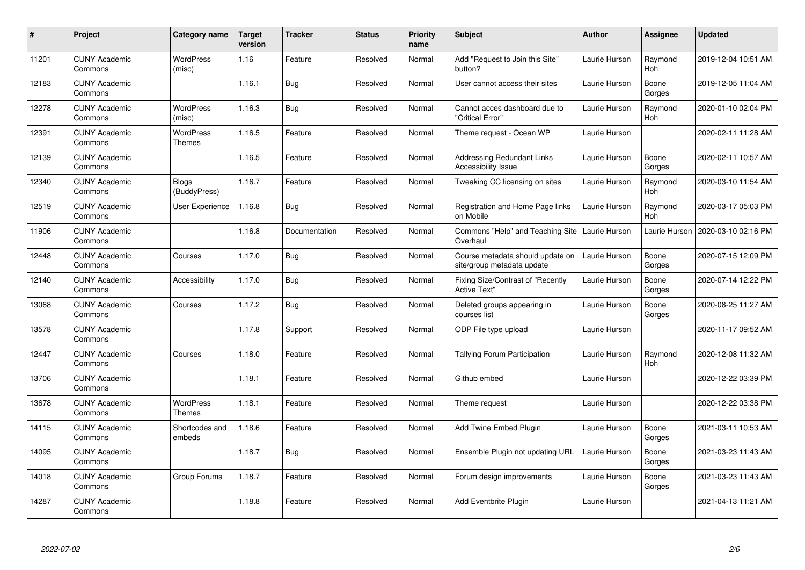| #     | <b>Project</b>                  | Category name                | <b>Target</b><br>version | <b>Tracker</b> | <b>Status</b> | <b>Priority</b><br>name | <b>Subject</b>                                                 | <b>Author</b> | <b>Assignee</b>       | <b>Updated</b>      |
|-------|---------------------------------|------------------------------|--------------------------|----------------|---------------|-------------------------|----------------------------------------------------------------|---------------|-----------------------|---------------------|
| 11201 | <b>CUNY Academic</b><br>Commons | <b>WordPress</b><br>(misc)   | 1.16                     | Feature        | Resolved      | Normal                  | Add "Request to Join this Site"<br>button?                     | Laurie Hurson | Raymond<br>Hoh        | 2019-12-04 10:51 AM |
| 12183 | <b>CUNY Academic</b><br>Commons |                              | 1.16.1                   | <b>Bug</b>     | Resolved      | Normal                  | User cannot access their sites                                 | Laurie Hurson | Boone<br>Gorges       | 2019-12-05 11:04 AM |
| 12278 | <b>CUNY Academic</b><br>Commons | <b>WordPress</b><br>(misc)   | 1.16.3                   | <b>Bug</b>     | Resolved      | Normal                  | Cannot acces dashboard due to<br>'Critical Error"              | Laurie Hurson | Raymond<br>Hoh        | 2020-01-10 02:04 PM |
| 12391 | <b>CUNY Academic</b><br>Commons | <b>WordPress</b><br>Themes   | 1.16.5                   | Feature        | Resolved      | Normal                  | Theme request - Ocean WP                                       | Laurie Hurson |                       | 2020-02-11 11:28 AM |
| 12139 | <b>CUNY Academic</b><br>Commons |                              | 1.16.5                   | Feature        | Resolved      | Normal                  | <b>Addressing Redundant Links</b><br>Accessibility Issue       | Laurie Hurson | Boone<br>Gorges       | 2020-02-11 10:57 AM |
| 12340 | <b>CUNY Academic</b><br>Commons | <b>Blogs</b><br>(BuddyPress) | 1.16.7                   | Feature        | Resolved      | Normal                  | Tweaking CC licensing on sites                                 | Laurie Hurson | Raymond<br><b>Hoh</b> | 2020-03-10 11:54 AM |
| 12519 | <b>CUNY Academic</b><br>Commons | User Experience              | 1.16.8                   | <b>Bug</b>     | Resolved      | Normal                  | Registration and Home Page links<br>on Mobile                  | Laurie Hurson | Raymond<br>Hoh        | 2020-03-17 05:03 PM |
| 11906 | <b>CUNY Academic</b><br>Commons |                              | 1.16.8                   | Documentation  | Resolved      | Normal                  | Commons "Help" and Teaching Site<br>Overhaul                   | Laurie Hurson | Laurie Hurson         | 2020-03-10 02:16 PM |
| 12448 | <b>CUNY Academic</b><br>Commons | Courses                      | 1.17.0                   | <b>Bug</b>     | Resolved      | Normal                  | Course metadata should update on<br>site/group metadata update | Laurie Hurson | Boone<br>Gorges       | 2020-07-15 12:09 PM |
| 12140 | <b>CUNY Academic</b><br>Commons | Accessibility                | 1.17.0                   | Bug            | Resolved      | Normal                  | Fixing Size/Contrast of "Recently<br><b>Active Text"</b>       | Laurie Hurson | Boone<br>Gorges       | 2020-07-14 12:22 PM |
| 13068 | <b>CUNY Academic</b><br>Commons | Courses                      | 1.17.2                   | <b>Bug</b>     | Resolved      | Normal                  | Deleted groups appearing in<br>courses list                    | Laurie Hurson | Boone<br>Gorges       | 2020-08-25 11:27 AM |
| 13578 | <b>CUNY Academic</b><br>Commons |                              | 1.17.8                   | Support        | Resolved      | Normal                  | ODP File type upload                                           | Laurie Hurson |                       | 2020-11-17 09:52 AM |
| 12447 | <b>CUNY Academic</b><br>Commons | Courses                      | 1.18.0                   | Feature        | Resolved      | Normal                  | Tallying Forum Participation                                   | Laurie Hurson | Raymond<br>Hoh        | 2020-12-08 11:32 AM |
| 13706 | <b>CUNY Academic</b><br>Commons |                              | 1.18.1                   | Feature        | Resolved      | Normal                  | Github embed                                                   | Laurie Hurson |                       | 2020-12-22 03:39 PM |
| 13678 | <b>CUNY Academic</b><br>Commons | WordPress<br>Themes          | 1.18.1                   | Feature        | Resolved      | Normal                  | Theme request                                                  | Laurie Hurson |                       | 2020-12-22 03:38 PM |
| 14115 | <b>CUNY Academic</b><br>Commons | Shortcodes and<br>embeds     | 1.18.6                   | Feature        | Resolved      | Normal                  | Add Twine Embed Plugin                                         | Laurie Hurson | Boone<br>Gorges       | 2021-03-11 10:53 AM |
| 14095 | <b>CUNY Academic</b><br>Commons |                              | 1.18.7                   | <b>Bug</b>     | Resolved      | Normal                  | Ensemble Plugin not updating URL                               | Laurie Hurson | Boone<br>Gorges       | 2021-03-23 11:43 AM |
| 14018 | <b>CUNY Academic</b><br>Commons | Group Forums                 | 1.18.7                   | Feature        | Resolved      | Normal                  | Forum design improvements                                      | Laurie Hurson | Boone<br>Gorges       | 2021-03-23 11:43 AM |
| 14287 | <b>CUNY Academic</b><br>Commons |                              | 1.18.8                   | Feature        | Resolved      | Normal                  | Add Eventbrite Plugin                                          | Laurie Hurson |                       | 2021-04-13 11:21 AM |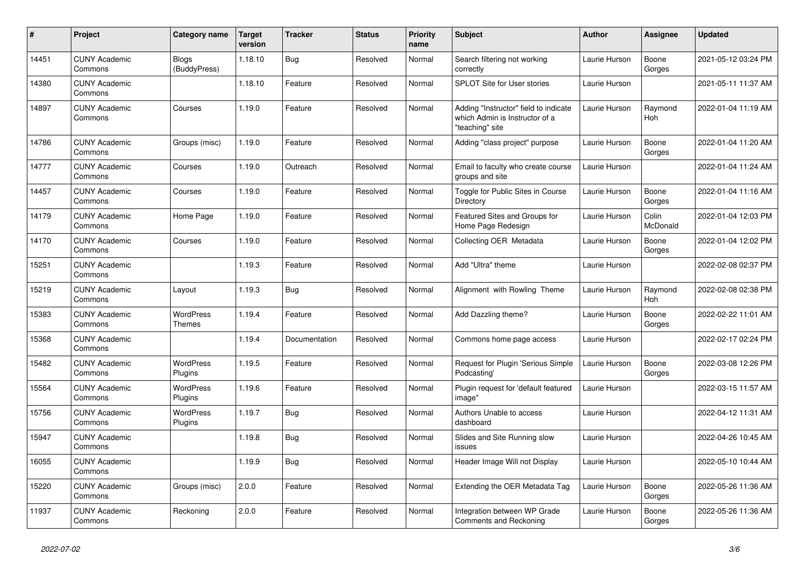| $\#$  | Project                         | Category name                | <b>Target</b><br>version | <b>Tracker</b> | <b>Status</b> | <b>Priority</b><br>name | <b>Subject</b>                                                                             | <b>Author</b> | <b>Assignee</b>   | Updated             |
|-------|---------------------------------|------------------------------|--------------------------|----------------|---------------|-------------------------|--------------------------------------------------------------------------------------------|---------------|-------------------|---------------------|
| 14451 | <b>CUNY Academic</b><br>Commons | <b>Blogs</b><br>(BuddyPress) | 1.18.10                  | Bug            | Resolved      | Normal                  | Search filtering not working<br>correctly                                                  | Laurie Hurson | Boone<br>Gorges   | 2021-05-12 03:24 PM |
| 14380 | <b>CUNY Academic</b><br>Commons |                              | 1.18.10                  | Feature        | Resolved      | Normal                  | <b>SPLOT Site for User stories</b>                                                         | Laurie Hurson |                   | 2021-05-11 11:37 AM |
| 14897 | <b>CUNY Academic</b><br>Commons | Courses                      | 1.19.0                   | Feature        | Resolved      | Normal                  | Adding "Instructor" field to indicate<br>which Admin is Instructor of a<br>"teaching" site | Laurie Hurson | Raymond<br>Hoh    | 2022-01-04 11:19 AM |
| 14786 | <b>CUNY Academic</b><br>Commons | Groups (misc)                | 1.19.0                   | Feature        | Resolved      | Normal                  | Adding "class project" purpose                                                             | Laurie Hurson | Boone<br>Gorges   | 2022-01-04 11:20 AM |
| 14777 | <b>CUNY Academic</b><br>Commons | Courses                      | 1.19.0                   | Outreach       | Resolved      | Normal                  | Email to faculty who create course<br>groups and site                                      | Laurie Hurson |                   | 2022-01-04 11:24 AM |
| 14457 | <b>CUNY Academic</b><br>Commons | Courses                      | 1.19.0                   | Feature        | Resolved      | Normal                  | Toggle for Public Sites in Course<br>Directory                                             | Laurie Hurson | Boone<br>Gorges   | 2022-01-04 11:16 AM |
| 14179 | <b>CUNY Academic</b><br>Commons | Home Page                    | 1.19.0                   | Feature        | Resolved      | Normal                  | Featured Sites and Groups for<br>Home Page Redesign                                        | Laurie Hurson | Colin<br>McDonald | 2022-01-04 12:03 PM |
| 14170 | <b>CUNY Academic</b><br>Commons | Courses                      | 1.19.0                   | Feature        | Resolved      | Normal                  | Collecting OER Metadata                                                                    | Laurie Hurson | Boone<br>Gorges   | 2022-01-04 12:02 PM |
| 15251 | <b>CUNY Academic</b><br>Commons |                              | 1.19.3                   | Feature        | Resolved      | Normal                  | Add "Ultra" theme                                                                          | Laurie Hurson |                   | 2022-02-08 02:37 PM |
| 15219 | <b>CUNY Academic</b><br>Commons | Layout                       | 1.19.3                   | Bug            | Resolved      | Normal                  | Alignment with Rowling Theme                                                               | Laurie Hurson | Raymond<br>Hoh    | 2022-02-08 02:38 PM |
| 15383 | <b>CUNY Academic</b><br>Commons | WordPress<br>Themes          | 1.19.4                   | Feature        | Resolved      | Normal                  | Add Dazzling theme?                                                                        | Laurie Hurson | Boone<br>Gorges   | 2022-02-22 11:01 AM |
| 15368 | <b>CUNY Academic</b><br>Commons |                              | 1.19.4                   | Documentation  | Resolved      | Normal                  | Commons home page access                                                                   | Laurie Hurson |                   | 2022-02-17 02:24 PM |
| 15482 | <b>CUNY Academic</b><br>Commons | <b>WordPress</b><br>Plugins  | 1.19.5                   | Feature        | Resolved      | Normal                  | Request for Plugin 'Serious Simple<br>Podcasting'                                          | Laurie Hurson | Boone<br>Gorges   | 2022-03-08 12:26 PM |
| 15564 | <b>CUNY Academic</b><br>Commons | <b>WordPress</b><br>Plugins  | 1.19.6                   | Feature        | Resolved      | Normal                  | Plugin request for 'default featured<br>image"                                             | Laurie Hurson |                   | 2022-03-15 11:57 AM |
| 15756 | <b>CUNY Academic</b><br>Commons | <b>WordPress</b><br>Plugins  | 1.19.7                   | <b>Bug</b>     | Resolved      | Normal                  | Authors Unable to access<br>dashboard                                                      | Laurie Hurson |                   | 2022-04-12 11:31 AM |
| 15947 | <b>CUNY Academic</b><br>Commons |                              | 1.19.8                   | Bug            | Resolved      | Normal                  | Slides and Site Running slow<br>issues                                                     | Laurie Hurson |                   | 2022-04-26 10:45 AM |
| 16055 | <b>CUNY Academic</b><br>Commons |                              | 1.19.9                   | Bug            | Resolved      | Normal                  | Header Image Will not Display                                                              | Laurie Hurson |                   | 2022-05-10 10:44 AM |
| 15220 | <b>CUNY Academic</b><br>Commons | Groups (misc)                | 2.0.0                    | Feature        | Resolved      | Normal                  | Extending the OER Metadata Tag                                                             | Laurie Hurson | Boone<br>Gorges   | 2022-05-26 11:36 AM |
| 11937 | <b>CUNY Academic</b><br>Commons | Reckoning                    | 2.0.0                    | Feature        | Resolved      | Normal                  | Integration between WP Grade<br>Comments and Reckoning                                     | Laurie Hurson | Boone<br>Gorges   | 2022-05-26 11:36 AM |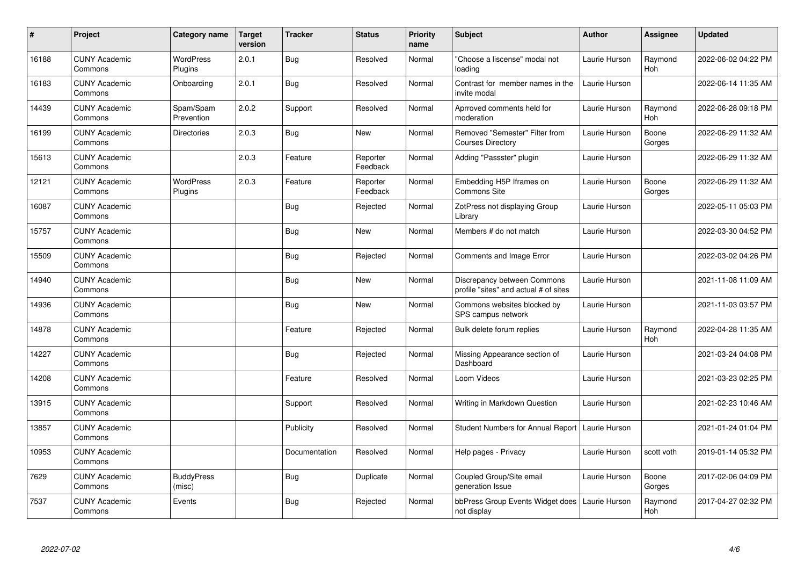| $\pmb{\#}$ | Project                         | Category name               | <b>Target</b><br>version | <b>Tracker</b> | <b>Status</b>        | <b>Priority</b><br>name | <b>Subject</b>                                                       | <b>Author</b> | <b>Assignee</b> | <b>Updated</b>      |
|------------|---------------------------------|-----------------------------|--------------------------|----------------|----------------------|-------------------------|----------------------------------------------------------------------|---------------|-----------------|---------------------|
| 16188      | <b>CUNY Academic</b><br>Commons | <b>WordPress</b><br>Plugins | 2.0.1                    | <b>Bug</b>     | Resolved             | Normal                  | "Choose a liscense" modal not<br>loading                             | Laurie Hurson | Raymond<br>Hoh  | 2022-06-02 04:22 PM |
| 16183      | <b>CUNY Academic</b><br>Commons | Onboarding                  | 2.0.1                    | <b>Bug</b>     | Resolved             | Normal                  | Contrast for member names in the<br>invite modal                     | Laurie Hurson |                 | 2022-06-14 11:35 AM |
| 14439      | <b>CUNY Academic</b><br>Commons | Spam/Spam<br>Prevention     | 2.0.2                    | Support        | Resolved             | Normal                  | Aprroved comments held for<br>moderation                             | Laurie Hurson | Raymond<br>Hoh  | 2022-06-28 09:18 PM |
| 16199      | <b>CUNY Academic</b><br>Commons | Directories                 | 2.0.3                    | Bug            | New                  | Normal                  | Removed "Semester" Filter from<br><b>Courses Directory</b>           | Laurie Hurson | Boone<br>Gorges | 2022-06-29 11:32 AM |
| 15613      | <b>CUNY Academic</b><br>Commons |                             | 2.0.3                    | Feature        | Reporter<br>Feedback | Normal                  | Adding "Passster" plugin                                             | Laurie Hurson |                 | 2022-06-29 11:32 AM |
| 12121      | <b>CUNY Academic</b><br>Commons | <b>WordPress</b><br>Plugins | 2.0.3                    | Feature        | Reporter<br>Feedback | Normal                  | Embedding H5P Iframes on<br><b>Commons Site</b>                      | Laurie Hurson | Boone<br>Gorges | 2022-06-29 11:32 AM |
| 16087      | <b>CUNY Academic</b><br>Commons |                             |                          | Bug            | Rejected             | Normal                  | ZotPress not displaying Group<br>Library                             | Laurie Hurson |                 | 2022-05-11 05:03 PM |
| 15757      | <b>CUNY Academic</b><br>Commons |                             |                          | <b>Bug</b>     | <b>New</b>           | Normal                  | Members # do not match                                               | Laurie Hurson |                 | 2022-03-30 04:52 PM |
| 15509      | <b>CUNY Academic</b><br>Commons |                             |                          | Bug            | Rejected             | Normal                  | <b>Comments and Image Error</b>                                      | Laurie Hurson |                 | 2022-03-02 04:26 PM |
| 14940      | <b>CUNY Academic</b><br>Commons |                             |                          | <b>Bug</b>     | New                  | Normal                  | Discrepancy between Commons<br>profile "sites" and actual # of sites | Laurie Hurson |                 | 2021-11-08 11:09 AM |
| 14936      | <b>CUNY Academic</b><br>Commons |                             |                          | <b>Bug</b>     | New                  | Normal                  | Commons websites blocked by<br>SPS campus network                    | Laurie Hurson |                 | 2021-11-03 03:57 PM |
| 14878      | <b>CUNY Academic</b><br>Commons |                             |                          | Feature        | Rejected             | Normal                  | Bulk delete forum replies                                            | Laurie Hurson | Raymond<br>Hoh  | 2022-04-28 11:35 AM |
| 14227      | <b>CUNY Academic</b><br>Commons |                             |                          | Bug            | Rejected             | Normal                  | Missing Appearance section of<br>Dashboard                           | Laurie Hurson |                 | 2021-03-24 04:08 PM |
| 14208      | <b>CUNY Academic</b><br>Commons |                             |                          | Feature        | Resolved             | Normal                  | Loom Videos                                                          | Laurie Hurson |                 | 2021-03-23 02:25 PM |
| 13915      | <b>CUNY Academic</b><br>Commons |                             |                          | Support        | Resolved             | Normal                  | Writing in Markdown Question                                         | Laurie Hurson |                 | 2021-02-23 10:46 AM |
| 13857      | <b>CUNY Academic</b><br>Commons |                             |                          | Publicity      | Resolved             | Normal                  | Student Numbers for Annual Report   Laurie Hurson                    |               |                 | 2021-01-24 01:04 PM |
| 10953      | <b>CUNY Academic</b><br>Commons |                             |                          | Documentation  | Resolved             | Normal                  | Help pages - Privacy                                                 | Laurie Hurson | scott voth      | 2019-01-14 05:32 PM |
| 7629       | <b>CUNY Academic</b><br>Commons | <b>BuddyPress</b><br>(misc) |                          | Bug            | Duplicate            | Normal                  | Coupled Group/Site email<br>generation Issue                         | Laurie Hurson | Boone<br>Gorges | 2017-02-06 04:09 PM |
| 7537       | <b>CUNY Academic</b><br>Commons | Events                      |                          | <b>Bug</b>     | Rejected             | Normal                  | bbPress Group Events Widget does<br>not display                      | Laurie Hurson | Raymond<br>Hoh  | 2017-04-27 02:32 PM |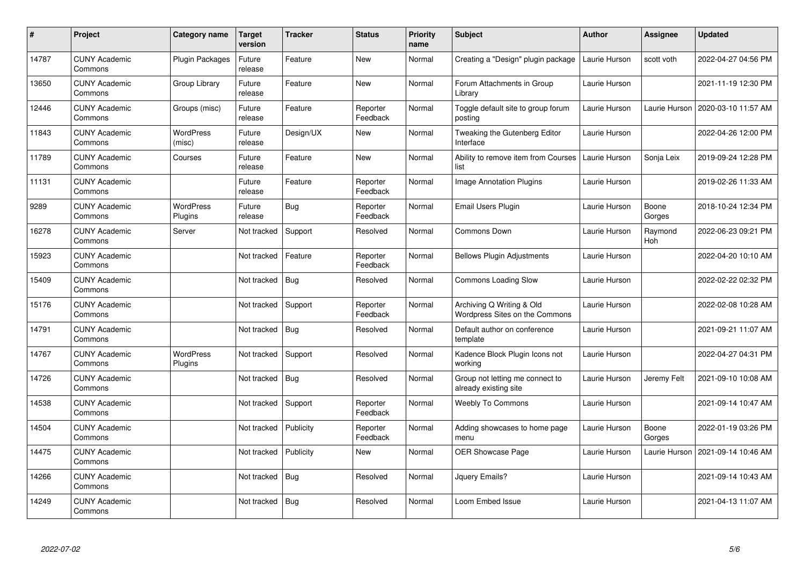| #     | Project                         | Category name               | <b>Target</b><br>version | <b>Tracker</b> | <b>Status</b>        | <b>Priority</b><br>name | <b>Subject</b>                                              | <b>Author</b> | <b>Assignee</b> | <b>Updated</b>      |
|-------|---------------------------------|-----------------------------|--------------------------|----------------|----------------------|-------------------------|-------------------------------------------------------------|---------------|-----------------|---------------------|
| 14787 | <b>CUNY Academic</b><br>Commons | <b>Plugin Packages</b>      | Future<br>release        | Feature        | <b>New</b>           | Normal                  | Creating a "Design" plugin package                          | Laurie Hurson | scott voth      | 2022-04-27 04:56 PM |
| 13650 | <b>CUNY Academic</b><br>Commons | Group Library               | Future<br>release        | Feature        | New                  | Normal                  | Forum Attachments in Group<br>Library                       | Laurie Hurson |                 | 2021-11-19 12:30 PM |
| 12446 | <b>CUNY Academic</b><br>Commons | Groups (misc)               | Future<br>release        | Feature        | Reporter<br>Feedback | Normal                  | Toggle default site to group forum<br>posting               | Laurie Hurson | Laurie Hurson   | 2020-03-10 11:57 AM |
| 11843 | <b>CUNY Academic</b><br>Commons | <b>WordPress</b><br>(misc)  | Future<br>release        | Design/UX      | New                  | Normal                  | Tweaking the Gutenberg Editor<br>Interface                  | Laurie Hurson |                 | 2022-04-26 12:00 PM |
| 11789 | <b>CUNY Academic</b><br>Commons | Courses                     | Future<br>release        | Feature        | <b>New</b>           | Normal                  | Ability to remove item from Courses<br>list                 | Laurie Hurson | Sonja Leix      | 2019-09-24 12:28 PM |
| 11131 | <b>CUNY Academic</b><br>Commons |                             | Future<br>release        | Feature        | Reporter<br>Feedback | Normal                  | <b>Image Annotation Plugins</b>                             | Laurie Hurson |                 | 2019-02-26 11:33 AM |
| 9289  | <b>CUNY Academic</b><br>Commons | <b>WordPress</b><br>Plugins | Future<br>release        | <b>Bug</b>     | Reporter<br>Feedback | Normal                  | <b>Email Users Plugin</b>                                   | Laurie Hurson | Boone<br>Gorges | 2018-10-24 12:34 PM |
| 16278 | <b>CUNY Academic</b><br>Commons | Server                      | Not tracked              | Support        | Resolved             | Normal                  | Commons Down                                                | Laurie Hurson | Raymond<br>Hoh  | 2022-06-23 09:21 PM |
| 15923 | <b>CUNY Academic</b><br>Commons |                             | Not tracked              | Feature        | Reporter<br>Feedback | Normal                  | <b>Bellows Plugin Adjustments</b>                           | Laurie Hurson |                 | 2022-04-20 10:10 AM |
| 15409 | <b>CUNY Academic</b><br>Commons |                             | Not tracked              | <b>Bug</b>     | Resolved             | Normal                  | <b>Commons Loading Slow</b>                                 | Laurie Hurson |                 | 2022-02-22 02:32 PM |
| 15176 | <b>CUNY Academic</b><br>Commons |                             | Not tracked              | Support        | Reporter<br>Feedback | Normal                  | Archiving Q Writing & Old<br>Wordpress Sites on the Commons | Laurie Hurson |                 | 2022-02-08 10:28 AM |
| 14791 | <b>CUNY Academic</b><br>Commons |                             | Not tracked              | Bug            | Resolved             | Normal                  | Default author on conference<br>template                    | Laurie Hurson |                 | 2021-09-21 11:07 AM |
| 14767 | <b>CUNY Academic</b><br>Commons | <b>WordPress</b><br>Plugins | Not tracked              | Support        | Resolved             | Normal                  | Kadence Block Plugin Icons not<br>workina                   | Laurie Hurson |                 | 2022-04-27 04:31 PM |
| 14726 | <b>CUNY Academic</b><br>Commons |                             | Not tracked              | <b>Bug</b>     | Resolved             | Normal                  | Group not letting me connect to<br>already existing site    | Laurie Hurson | Jeremy Felt     | 2021-09-10 10:08 AM |
| 14538 | <b>CUNY Academic</b><br>Commons |                             | Not tracked              | Support        | Reporter<br>Feedback | Normal                  | <b>Weebly To Commons</b>                                    | Laurie Hurson |                 | 2021-09-14 10:47 AM |
| 14504 | <b>CUNY Academic</b><br>Commons |                             | Not tracked              | Publicity      | Reporter<br>Feedback | Normal                  | Adding showcases to home page<br>menu                       | Laurie Hurson | Boone<br>Gorges | 2022-01-19 03:26 PM |
| 14475 | <b>CUNY Academic</b><br>Commons |                             | Not tracked              | Publicity      | <b>New</b>           | Normal                  | <b>OER Showcase Page</b>                                    | Laurie Hurson | Laurie Hurson   | 2021-09-14 10:46 AM |
| 14266 | <b>CUNY Academic</b><br>Commons |                             | Not tracked              | Bug            | Resolved             | Normal                  | Jquery Emails?                                              | Laurie Hurson |                 | 2021-09-14 10:43 AM |
| 14249 | <b>CUNY Academic</b><br>Commons |                             | Not tracked              | <b>Bug</b>     | Resolved             | Normal                  | Loom Embed Issue                                            | Laurie Hurson |                 | 2021-04-13 11:07 AM |